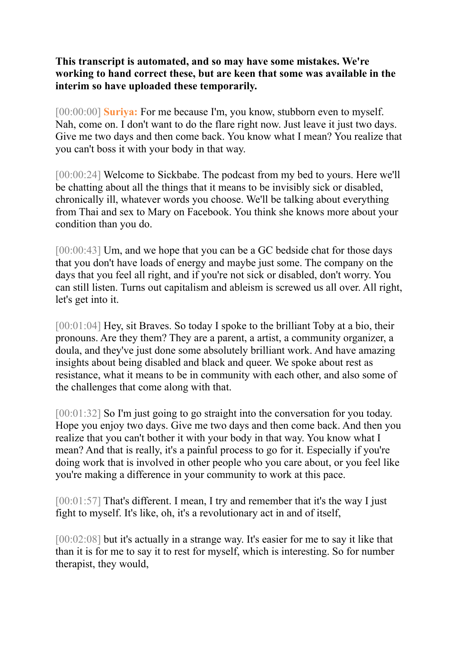**This transcript is automated, and so may have some mistakes. We're working to hand correct these, but are keen that some was available in the interim so have uploaded these temporarily.** 

[00:00:00] **Suriya:** For me because I'm, you know, stubborn even to myself. Nah, come on. I don't want to do the flare right now. Just leave it just two days. Give me two days and then come back. You know what I mean? You realize that you can't boss it with your body in that way.

[00:00:24] Welcome to Sickbabe. The podcast from my bed to yours. Here we'll be chatting about all the things that it means to be invisibly sick or disabled, chronically ill, whatever words you choose. We'll be talking about everything from Thai and sex to Mary on Facebook. You think she knows more about your condition than you do.

[00:00:43] Um, and we hope that you can be a GC bedside chat for those days that you don't have loads of energy and maybe just some. The company on the days that you feel all right, and if you're not sick or disabled, don't worry. You can still listen. Turns out capitalism and ableism is screwed us all over. All right, let's get into it.

[00:01:04] Hey, sit Braves. So today I spoke to the brilliant Toby at a bio, their pronouns. Are they them? They are a parent, a artist, a community organizer, a doula, and they've just done some absolutely brilliant work. And have amazing insights about being disabled and black and queer. We spoke about rest as resistance, what it means to be in community with each other, and also some of the challenges that come along with that.

[00:01:32] So I'm just going to go straight into the conversation for you today. Hope you enjoy two days. Give me two days and then come back. And then you realize that you can't bother it with your body in that way. You know what I mean? And that is really, it's a painful process to go for it. Especially if you're doing work that is involved in other people who you care about, or you feel like you're making a difference in your community to work at this pace.

[00:01:57] That's different. I mean, I try and remember that it's the way I just fight to myself. It's like, oh, it's a revolutionary act in and of itself,

[00:02:08] but it's actually in a strange way. It's easier for me to say it like that than it is for me to say it to rest for myself, which is interesting. So for number therapist, they would,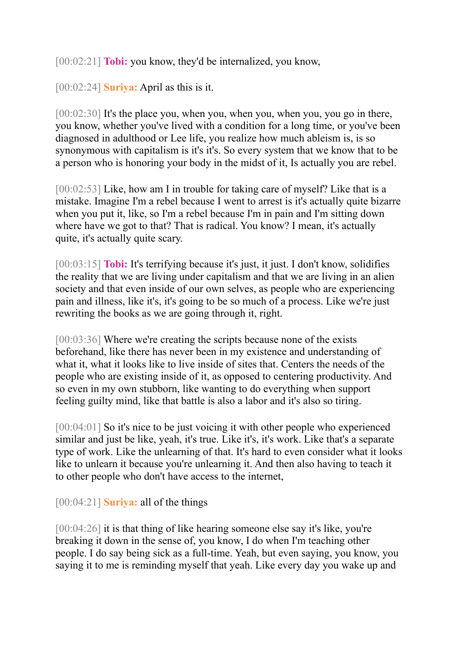[00:02:21] **Tobi:** you know, they'd be internalized, you know,

[00:02:24] **Suriya:** April as this is it.

[00:02:30] It's the place you, when you, when you, when you, you go in there, you know, whether you've lived with a condition for a long time, or you've been diagnosed in adulthood or Lee life, you realize how much ableism is, is so synonymous with capitalism is it's it's. So every system that we know that to be a person who is honoring your body in the midst of it, Is actually you are rebel.

[00:02:53] Like, how am I in trouble for taking care of myself? Like that is a mistake. Imagine I'm a rebel because I went to arrest is it's actually quite bizarre when you put it, like, so I'm a rebel because I'm in pain and I'm sitting down where have we got to that? That is radical. You know? I mean, it's actually quite, it's actually quite scary.

[00:03:15] **Tobi:** It's terrifying because it's just, it just. I don't know, solidifies the reality that we are living under capitalism and that we are living in an alien society and that even inside of our own selves, as people who are experiencing pain and illness, like it's, it's going to be so much of a process. Like we're just rewriting the books as we are going through it, right.

[00:03:36] Where we're creating the scripts because none of the exists beforehand, like there has never been in my existence and understanding of what it, what it looks like to live inside of sites that. Centers the needs of the people who are existing inside of it, as opposed to centering productivity. And so even in my own stubborn, like wanting to do everything when support feeling guilty mind, like that battle is also a labor and it's also so tiring.

[00:04:01] So it's nice to be just voicing it with other people who experienced similar and just be like, yeah, it's true. Like it's, it's work. Like that's a separate type of work. Like the unlearning of that. It's hard to even consider what it looks like to unlearn it because you're unlearning it. And then also having to teach it to other people who don't have access to the internet,

[00:04:21] **Suriya:** all of the things

[00:04:26] it is that thing of like hearing someone else say it's like, you're breaking it down in the sense of, you know, I do when I'm teaching other people. I do say being sick as a full-time. Yeah, but even saying, you know, you saying it to me is reminding myself that yeah. Like every day you wake up and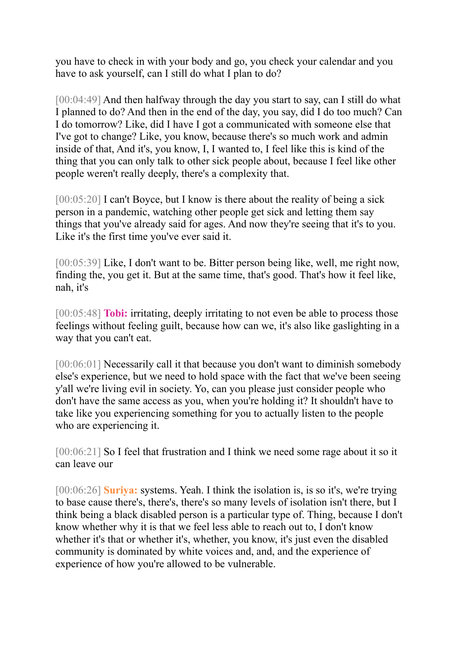you have to check in with your body and go, you check your calendar and you have to ask yourself, can I still do what I plan to do?

[00:04:49] And then halfway through the day you start to say, can I still do what I planned to do? And then in the end of the day, you say, did I do too much? Can I do tomorrow? Like, did I have I got a communicated with someone else that I've got to change? Like, you know, because there's so much work and admin inside of that, And it's, you know, I, I wanted to, I feel like this is kind of the thing that you can only talk to other sick people about, because I feel like other people weren't really deeply, there's a complexity that.

[00:05:20] I can't Boyce, but I know is there about the reality of being a sick person in a pandemic, watching other people get sick and letting them say things that you've already said for ages. And now they're seeing that it's to you. Like it's the first time you've ever said it.

[00:05:39] Like, I don't want to be. Bitter person being like, well, me right now, finding the, you get it. But at the same time, that's good. That's how it feel like, nah, it's

[00:05:48] **Tobi:** irritating, deeply irritating to not even be able to process those feelings without feeling guilt, because how can we, it's also like gaslighting in a way that you can't eat.

[00:06:01] Necessarily call it that because you don't want to diminish somebody else's experience, but we need to hold space with the fact that we've been seeing y'all we're living evil in society. Yo, can you please just consider people who don't have the same access as you, when you're holding it? It shouldn't have to take like you experiencing something for you to actually listen to the people who are experiencing it.

[00:06:21] So I feel that frustration and I think we need some rage about it so it can leave our

[00:06:26] **Suriya:** systems. Yeah. I think the isolation is, is so it's, we're trying to base cause there's, there's, there's so many levels of isolation isn't there, but I think being a black disabled person is a particular type of. Thing, because I don't know whether why it is that we feel less able to reach out to, I don't know whether it's that or whether it's, whether, you know, it's just even the disabled community is dominated by white voices and, and, and the experience of experience of how you're allowed to be vulnerable.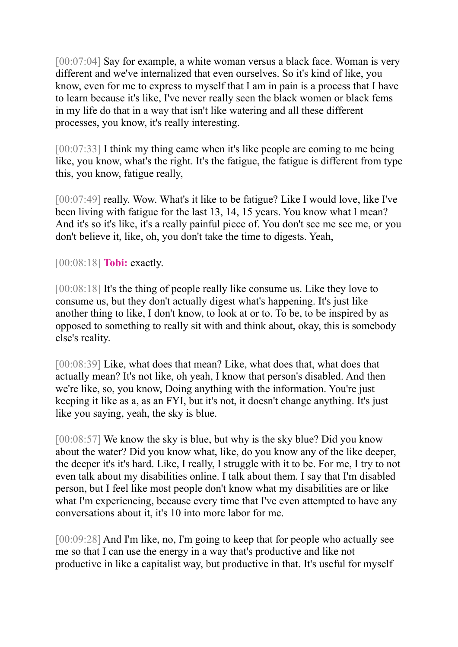[00:07:04] Say for example, a white woman versus a black face. Woman is very different and we've internalized that even ourselves. So it's kind of like, you know, even for me to express to myself that I am in pain is a process that I have to learn because it's like, I've never really seen the black women or black fems in my life do that in a way that isn't like watering and all these different processes, you know, it's really interesting.

[00:07:33] I think my thing came when it's like people are coming to me being like, you know, what's the right. It's the fatigue, the fatigue is different from type this, you know, fatigue really,

[00:07:49] really. Wow. What's it like to be fatigue? Like I would love, like I've been living with fatigue for the last 13, 14, 15 years. You know what I mean? And it's so it's like, it's a really painful piece of. You don't see me see me, or you don't believe it, like, oh, you don't take the time to digests. Yeah,

[00:08:18] **Tobi:** exactly.

[00:08:18] It's the thing of people really like consume us. Like they love to consume us, but they don't actually digest what's happening. It's just like another thing to like, I don't know, to look at or to. To be, to be inspired by as opposed to something to really sit with and think about, okay, this is somebody else's reality.

[00:08:39] Like, what does that mean? Like, what does that, what does that actually mean? It's not like, oh yeah, I know that person's disabled. And then we're like, so, you know, Doing anything with the information. You're just keeping it like as a, as an FYI, but it's not, it doesn't change anything. It's just like you saying, yeah, the sky is blue.

[00:08:57] We know the sky is blue, but why is the sky blue? Did you know about the water? Did you know what, like, do you know any of the like deeper, the deeper it's it's hard. Like, I really, I struggle with it to be. For me, I try to not even talk about my disabilities online. I talk about them. I say that I'm disabled person, but I feel like most people don't know what my disabilities are or like what I'm experiencing, because every time that I've even attempted to have any conversations about it, it's 10 into more labor for me.

[00:09:28] And I'm like, no, I'm going to keep that for people who actually see me so that I can use the energy in a way that's productive and like not productive in like a capitalist way, but productive in that. It's useful for myself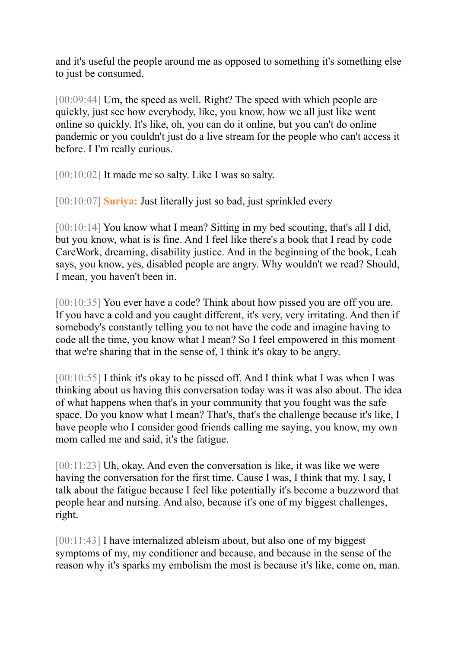and it's useful the people around me as opposed to something it's something else to just be consumed.

[00:09:44] Um, the speed as well. Right? The speed with which people are quickly, just see how everybody, like, you know, how we all just like went online so quickly. It's like, oh, you can do it online, but you can't do online pandemic or you couldn't just do a live stream for the people who can't access it before. I I'm really curious.

[00:10:02] It made me so salty. Like I was so salty.

[00:10:07] **Suriya:** Just literally just so bad, just sprinkled every

[00:10:14] You know what I mean? Sitting in my bed scouting, that's all I did, but you know, what is is fine. And I feel like there's a book that I read by code CareWork, dreaming, disability justice. And in the beginning of the book, Leah says, you know, yes, disabled people are angry. Why wouldn't we read? Should, I mean, you haven't been in.

[00:10:35] You ever have a code? Think about how pissed you are off you are. If you have a cold and you caught different, it's very, very irritating. And then if somebody's constantly telling you to not have the code and imagine having to code all the time, you know what I mean? So I feel empowered in this moment that we're sharing that in the sense of, I think it's okay to be angry.

[00:10:55] I think it's okay to be pissed off. And I think what I was when I was thinking about us having this conversation today was it was also about. The idea of what happens when that's in your community that you fought was the safe space. Do you know what I mean? That's, that's the challenge because it's like, I have people who I consider good friends calling me saying, you know, my own mom called me and said, it's the fatigue.

[00:11:23] Uh, okay. And even the conversation is like, it was like we were having the conversation for the first time. Cause I was, I think that my. I say, I talk about the fatigue because I feel like potentially it's become a buzzword that people hear and nursing. And also, because it's one of my biggest challenges, right.

[00:11:43] I have internalized ableism about, but also one of my biggest symptoms of my, my conditioner and because, and because in the sense of the reason why it's sparks my embolism the most is because it's like, come on, man.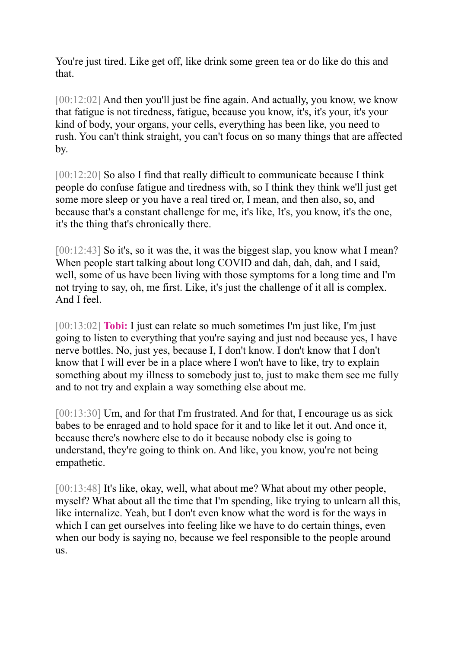You're just tired. Like get off, like drink some green tea or do like do this and that.

[00:12:02] And then you'll just be fine again. And actually, you know, we know that fatigue is not tiredness, fatigue, because you know, it's, it's your, it's your kind of body, your organs, your cells, everything has been like, you need to rush. You can't think straight, you can't focus on so many things that are affected by.

[00:12:20] So also I find that really difficult to communicate because I think people do confuse fatigue and tiredness with, so I think they think we'll just get some more sleep or you have a real tired or, I mean, and then also, so, and because that's a constant challenge for me, it's like, It's, you know, it's the one, it's the thing that's chronically there.

[00:12:43] So it's, so it was the, it was the biggest slap, you know what I mean? When people start talking about long COVID and dah, dah, dah, and I said, well, some of us have been living with those symptoms for a long time and I'm not trying to say, oh, me first. Like, it's just the challenge of it all is complex. And I feel.

[00:13:02] **Tobi:** I just can relate so much sometimes I'm just like, I'm just going to listen to everything that you're saying and just nod because yes, I have nerve bottles. No, just yes, because I, I don't know. I don't know that I don't know that I will ever be in a place where I won't have to like, try to explain something about my illness to somebody just to, just to make them see me fully and to not try and explain a way something else about me.

[00:13:30] Um, and for that I'm frustrated. And for that, I encourage us as sick babes to be enraged and to hold space for it and to like let it out. And once it, because there's nowhere else to do it because nobody else is going to understand, they're going to think on. And like, you know, you're not being empathetic.

[00:13:48] It's like, okay, well, what about me? What about my other people, myself? What about all the time that I'm spending, like trying to unlearn all this, like internalize. Yeah, but I don't even know what the word is for the ways in which I can get ourselves into feeling like we have to do certain things, even when our body is saying no, because we feel responsible to the people around us.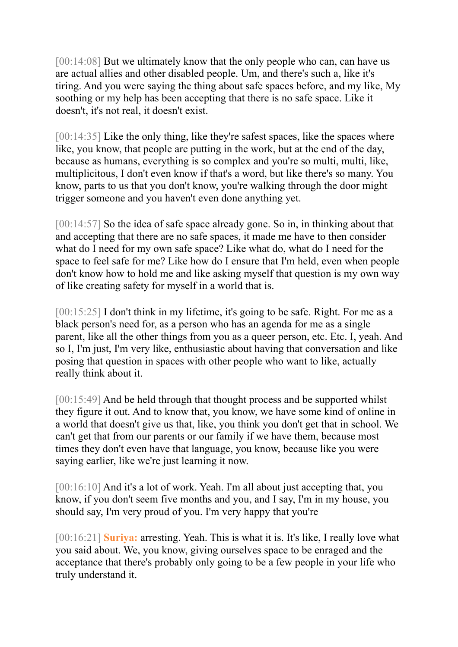[00:14:08] But we ultimately know that the only people who can, can have us are actual allies and other disabled people. Um, and there's such a, like it's tiring. And you were saying the thing about safe spaces before, and my like, My soothing or my help has been accepting that there is no safe space. Like it doesn't, it's not real, it doesn't exist.

[00:14:35] Like the only thing, like they're safest spaces, like the spaces where like, you know, that people are putting in the work, but at the end of the day, because as humans, everything is so complex and you're so multi, multi, like, multiplicitous, I don't even know if that's a word, but like there's so many. You know, parts to us that you don't know, you're walking through the door might trigger someone and you haven't even done anything yet.

[00:14:57] So the idea of safe space already gone. So in, in thinking about that and accepting that there are no safe spaces, it made me have to then consider what do I need for my own safe space? Like what do, what do I need for the space to feel safe for me? Like how do I ensure that I'm held, even when people don't know how to hold me and like asking myself that question is my own way of like creating safety for myself in a world that is.

[00:15:25] I don't think in my lifetime, it's going to be safe. Right. For me as a black person's need for, as a person who has an agenda for me as a single parent, like all the other things from you as a queer person, etc. Etc. I, yeah. And so I, I'm just, I'm very like, enthusiastic about having that conversation and like posing that question in spaces with other people who want to like, actually really think about it.

[00:15:49] And be held through that thought process and be supported whilst they figure it out. And to know that, you know, we have some kind of online in a world that doesn't give us that, like, you think you don't get that in school. We can't get that from our parents or our family if we have them, because most times they don't even have that language, you know, because like you were saying earlier, like we're just learning it now.

[00:16:10] And it's a lot of work. Yeah. I'm all about just accepting that, you know, if you don't seem five months and you, and I say, I'm in my house, you should say, I'm very proud of you. I'm very happy that you're

[00:16:21] **Suriya:** arresting. Yeah. This is what it is. It's like, I really love what you said about. We, you know, giving ourselves space to be enraged and the acceptance that there's probably only going to be a few people in your life who truly understand it.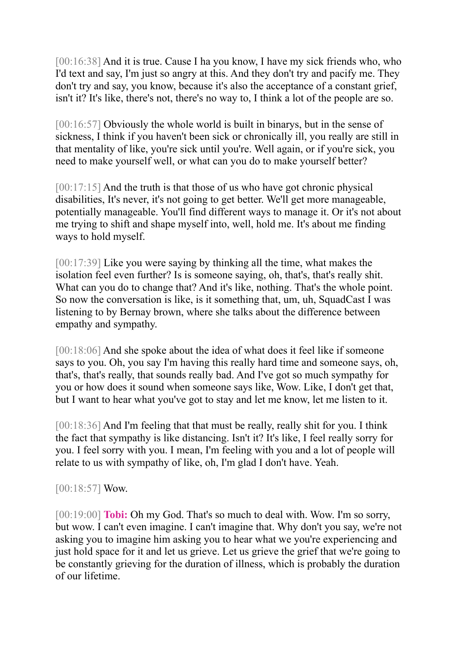[00:16:38] And it is true. Cause I ha you know, I have my sick friends who, who I'd text and say, I'm just so angry at this. And they don't try and pacify me. They don't try and say, you know, because it's also the acceptance of a constant grief, isn't it? It's like, there's not, there's no way to, I think a lot of the people are so.

[00:16:57] Obviously the whole world is built in binarys, but in the sense of sickness, I think if you haven't been sick or chronically ill, you really are still in that mentality of like, you're sick until you're. Well again, or if you're sick, you need to make yourself well, or what can you do to make yourself better?

[00:17:15] And the truth is that those of us who have got chronic physical disabilities, It's never, it's not going to get better. We'll get more manageable, potentially manageable. You'll find different ways to manage it. Or it's not about me trying to shift and shape myself into, well, hold me. It's about me finding ways to hold myself.

[00:17:39] Like you were saying by thinking all the time, what makes the isolation feel even further? Is is someone saying, oh, that's, that's really shit. What can you do to change that? And it's like, nothing. That's the whole point. So now the conversation is like, is it something that, um, uh, SquadCast I was listening to by Bernay brown, where she talks about the difference between empathy and sympathy.

[00:18:06] And she spoke about the idea of what does it feel like if someone says to you. Oh, you say I'm having this really hard time and someone says, oh, that's, that's really, that sounds really bad. And I've got so much sympathy for you or how does it sound when someone says like, Wow. Like, I don't get that, but I want to hear what you've got to stay and let me know, let me listen to it.

[00:18:36] And I'm feeling that that must be really, really shit for you. I think the fact that sympathy is like distancing. Isn't it? It's like, I feel really sorry for you. I feel sorry with you. I mean, I'm feeling with you and a lot of people will relate to us with sympathy of like, oh, I'm glad I don't have. Yeah.

## [00:18:57] Wow.

[00:19:00] **Tobi:** Oh my God. That's so much to deal with. Wow. I'm so sorry, but wow. I can't even imagine. I can't imagine that. Why don't you say, we're not asking you to imagine him asking you to hear what we you're experiencing and just hold space for it and let us grieve. Let us grieve the grief that we're going to be constantly grieving for the duration of illness, which is probably the duration of our lifetime.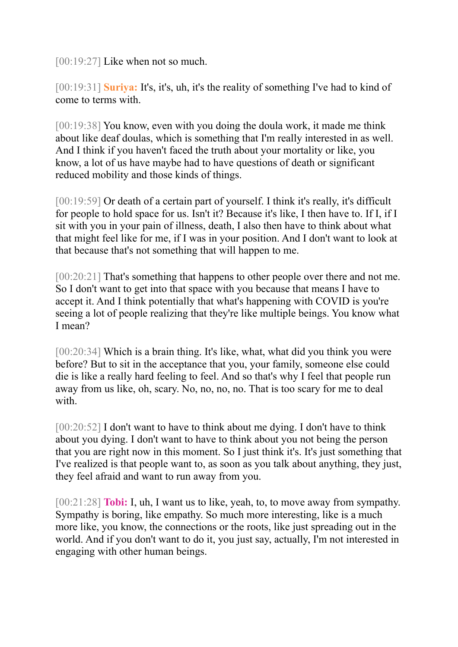[00:19:27] Like when not so much.

[00:19:31] **Suriya:** It's, it's, uh, it's the reality of something I've had to kind of come to terms with.

[00:19:38] You know, even with you doing the doula work, it made me think about like deaf doulas, which is something that I'm really interested in as well. And I think if you haven't faced the truth about your mortality or like, you know, a lot of us have maybe had to have questions of death or significant reduced mobility and those kinds of things.

[00:19:59] Or death of a certain part of yourself. I think it's really, it's difficult for people to hold space for us. Isn't it? Because it's like, I then have to. If I, if I sit with you in your pain of illness, death, I also then have to think about what that might feel like for me, if I was in your position. And I don't want to look at that because that's not something that will happen to me.

[00:20:21] That's something that happens to other people over there and not me. So I don't want to get into that space with you because that means I have to accept it. And I think potentially that what's happening with COVID is you're seeing a lot of people realizing that they're like multiple beings. You know what I mean?

[00:20:34] Which is a brain thing. It's like, what, what did you think you were before? But to sit in the acceptance that you, your family, someone else could die is like a really hard feeling to feel. And so that's why I feel that people run away from us like, oh, scary. No, no, no, no. That is too scary for me to deal with.

[00:20:52] I don't want to have to think about me dying. I don't have to think about you dying. I don't want to have to think about you not being the person that you are right now in this moment. So I just think it's. It's just something that I've realized is that people want to, as soon as you talk about anything, they just, they feel afraid and want to run away from you.

[00:21:28] **Tobi:** I, uh, I want us to like, yeah, to, to move away from sympathy. Sympathy is boring, like empathy. So much more interesting, like is a much more like, you know, the connections or the roots, like just spreading out in the world. And if you don't want to do it, you just say, actually, I'm not interested in engaging with other human beings.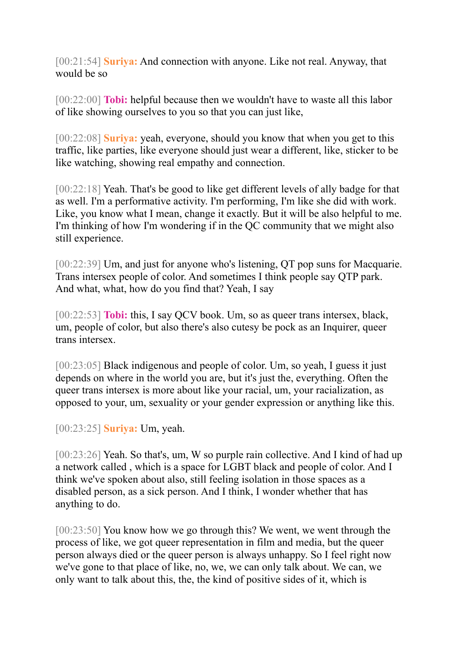[00:21:54] **Suriya:** And connection with anyone. Like not real. Anyway, that would be so

[00:22:00] **Tobi:** helpful because then we wouldn't have to waste all this labor of like showing ourselves to you so that you can just like,

[00:22:08] **Suriya:** yeah, everyone, should you know that when you get to this traffic, like parties, like everyone should just wear a different, like, sticker to be like watching, showing real empathy and connection.

[00:22:18] Yeah. That's be good to like get different levels of ally badge for that as well. I'm a performative activity. I'm performing, I'm like she did with work. Like, you know what I mean, change it exactly. But it will be also helpful to me. I'm thinking of how I'm wondering if in the QC community that we might also still experience.

[00:22:39] Um, and just for anyone who's listening, QT pop suns for Macquarie. Trans intersex people of color. And sometimes I think people say QTP park. And what, what, how do you find that? Yeah, I say

[00:22:53] **Tobi:** this, I say QCV book. Um, so as queer trans intersex, black, um, people of color, but also there's also cutesy be pock as an Inquirer, queer trans intersex.

[00:23:05] Black indigenous and people of color. Um, so yeah, I guess it just depends on where in the world you are, but it's just the, everything. Often the queer trans intersex is more about like your racial, um, your racialization, as opposed to your, um, sexuality or your gender expression or anything like this.

[00:23:25] **Suriya:** Um, yeah.

[00:23:26] Yeah. So that's, um, W so purple rain collective. And I kind of had up a network called , which is a space for LGBT black and people of color. And I think we've spoken about also, still feeling isolation in those spaces as a disabled person, as a sick person. And I think, I wonder whether that has anything to do.

[00:23:50] You know how we go through this? We went, we went through the process of like, we got queer representation in film and media, but the queer person always died or the queer person is always unhappy. So I feel right now we've gone to that place of like, no, we, we can only talk about. We can, we only want to talk about this, the, the kind of positive sides of it, which is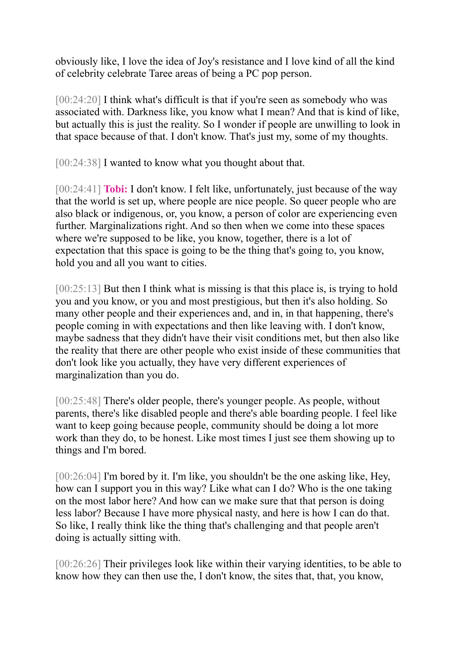obviously like, I love the idea of Joy's resistance and I love kind of all the kind of celebrity celebrate Taree areas of being a PC pop person.

[00:24:20] I think what's difficult is that if you're seen as somebody who was associated with. Darkness like, you know what I mean? And that is kind of like, but actually this is just the reality. So I wonder if people are unwilling to look in that space because of that. I don't know. That's just my, some of my thoughts.

[00:24:38] I wanted to know what you thought about that.

[00:24:41] **Tobi:** I don't know. I felt like, unfortunately, just because of the way that the world is set up, where people are nice people. So queer people who are also black or indigenous, or, you know, a person of color are experiencing even further. Marginalizations right. And so then when we come into these spaces where we're supposed to be like, you know, together, there is a lot of expectation that this space is going to be the thing that's going to, you know, hold you and all you want to cities.

[00:25:13] But then I think what is missing is that this place is, is trying to hold you and you know, or you and most prestigious, but then it's also holding. So many other people and their experiences and, and in, in that happening, there's people coming in with expectations and then like leaving with. I don't know, maybe sadness that they didn't have their visit conditions met, but then also like the reality that there are other people who exist inside of these communities that don't look like you actually, they have very different experiences of marginalization than you do.

[00:25:48] There's older people, there's younger people. As people, without parents, there's like disabled people and there's able boarding people. I feel like want to keep going because people, community should be doing a lot more work than they do, to be honest. Like most times I just see them showing up to things and I'm bored.

[00:26:04] I'm bored by it. I'm like, you shouldn't be the one asking like, Hey, how can I support you in this way? Like what can I do? Who is the one taking on the most labor here? And how can we make sure that that person is doing less labor? Because I have more physical nasty, and here is how I can do that. So like, I really think like the thing that's challenging and that people aren't doing is actually sitting with.

[00:26:26] Their privileges look like within their varying identities, to be able to know how they can then use the, I don't know, the sites that, that, you know,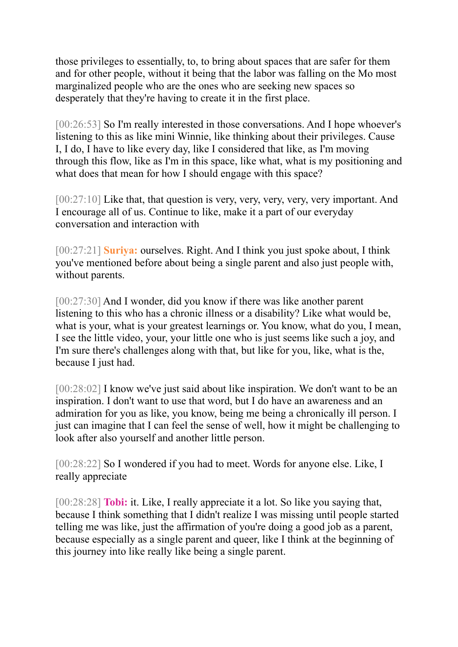those privileges to essentially, to, to bring about spaces that are safer for them and for other people, without it being that the labor was falling on the Mo most marginalized people who are the ones who are seeking new spaces so desperately that they're having to create it in the first place.

[00:26:53] So I'm really interested in those conversations. And I hope whoever's listening to this as like mini Winnie, like thinking about their privileges. Cause I, I do, I have to like every day, like I considered that like, as I'm moving through this flow, like as I'm in this space, like what, what is my positioning and what does that mean for how I should engage with this space?

[00:27:10] Like that, that question is very, very, very, very, very important. And I encourage all of us. Continue to like, make it a part of our everyday conversation and interaction with

[00:27:21] **Suriya:** ourselves. Right. And I think you just spoke about, I think you've mentioned before about being a single parent and also just people with, without parents.

[00:27:30] And I wonder, did you know if there was like another parent listening to this who has a chronic illness or a disability? Like what would be, what is your, what is your greatest learnings or. You know, what do you, I mean, I see the little video, your, your little one who is just seems like such a joy, and I'm sure there's challenges along with that, but like for you, like, what is the, because I just had.

[00:28:02] I know we've just said about like inspiration. We don't want to be an inspiration. I don't want to use that word, but I do have an awareness and an admiration for you as like, you know, being me being a chronically ill person. I just can imagine that I can feel the sense of well, how it might be challenging to look after also yourself and another little person.

[00:28:22] So I wondered if you had to meet. Words for anyone else. Like, I really appreciate

[00:28:28] **Tobi:** it. Like, I really appreciate it a lot. So like you saying that, because I think something that I didn't realize I was missing until people started telling me was like, just the affirmation of you're doing a good job as a parent, because especially as a single parent and queer, like I think at the beginning of this journey into like really like being a single parent.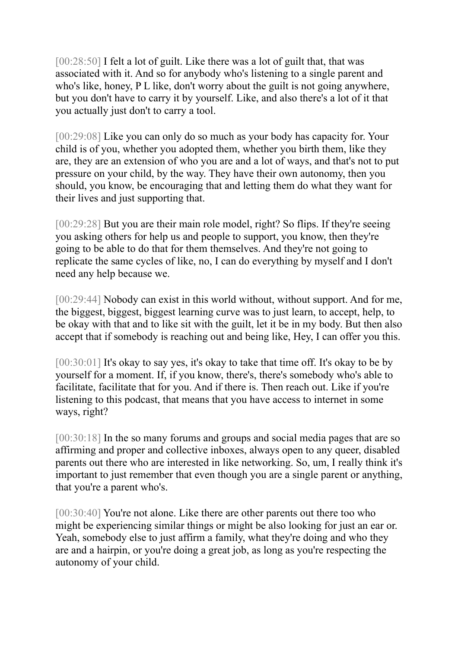[00:28:50] I felt a lot of guilt. Like there was a lot of guilt that, that was associated with it. And so for anybody who's listening to a single parent and who's like, honey, P L like, don't worry about the guilt is not going anywhere, but you don't have to carry it by yourself. Like, and also there's a lot of it that you actually just don't to carry a tool.

[00:29:08] Like you can only do so much as your body has capacity for. Your child is of you, whether you adopted them, whether you birth them, like they are, they are an extension of who you are and a lot of ways, and that's not to put pressure on your child, by the way. They have their own autonomy, then you should, you know, be encouraging that and letting them do what they want for their lives and just supporting that.

[00:29:28] But you are their main role model, right? So flips. If they're seeing you asking others for help us and people to support, you know, then they're going to be able to do that for them themselves. And they're not going to replicate the same cycles of like, no, I can do everything by myself and I don't need any help because we.

[00:29:44] Nobody can exist in this world without, without support. And for me, the biggest, biggest, biggest learning curve was to just learn, to accept, help, to be okay with that and to like sit with the guilt, let it be in my body. But then also accept that if somebody is reaching out and being like, Hey, I can offer you this.

[00:30:01] It's okay to say yes, it's okay to take that time off. It's okay to be by yourself for a moment. If, if you know, there's, there's somebody who's able to facilitate, facilitate that for you. And if there is. Then reach out. Like if you're listening to this podcast, that means that you have access to internet in some ways, right?

[00:30:18] In the so many forums and groups and social media pages that are so affirming and proper and collective inboxes, always open to any queer, disabled parents out there who are interested in like networking. So, um, I really think it's important to just remember that even though you are a single parent or anything, that you're a parent who's.

[00:30:40] You're not alone. Like there are other parents out there too who might be experiencing similar things or might be also looking for just an ear or. Yeah, somebody else to just affirm a family, what they're doing and who they are and a hairpin, or you're doing a great job, as long as you're respecting the autonomy of your child.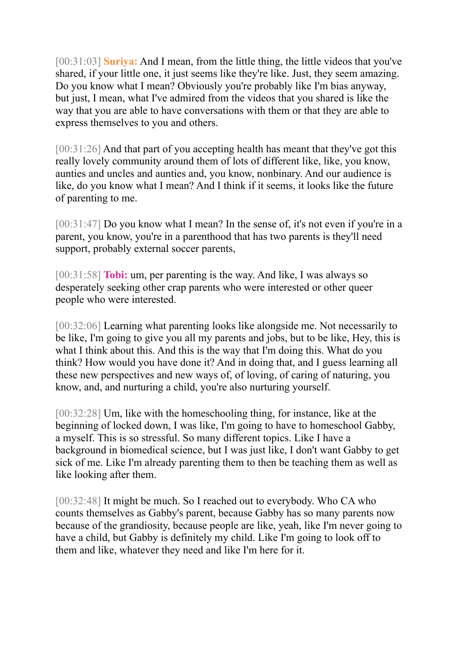[00:31:03] **Suriya:** And I mean, from the little thing, the little videos that you've shared, if your little one, it just seems like they're like. Just, they seem amazing. Do you know what I mean? Obviously you're probably like I'm bias anyway, but just, I mean, what I've admired from the videos that you shared is like the way that you are able to have conversations with them or that they are able to express themselves to you and others.

[00:31:26] And that part of you accepting health has meant that they've got this really lovely community around them of lots of different like, like, you know, aunties and uncles and aunties and, you know, nonbinary. And our audience is like, do you know what I mean? And I think if it seems, it looks like the future of parenting to me.

[00:31:47] Do you know what I mean? In the sense of, it's not even if you're in a parent, you know, you're in a parenthood that has two parents is they'll need support, probably external soccer parents,

[00:31:58] **Tobi:** um, per parenting is the way. And like, I was always so desperately seeking other crap parents who were interested or other queer people who were interested.

[00:32:06] Learning what parenting looks like alongside me. Not necessarily to be like, I'm going to give you all my parents and jobs, but to be like, Hey, this is what I think about this. And this is the way that I'm doing this. What do you think? How would you have done it? And in doing that, and I guess learning all these new perspectives and new ways of, of loving, of caring of naturing, you know, and, and nurturing a child, you're also nurturing yourself.

[00:32:28] Um, like with the homeschooling thing, for instance, like at the beginning of locked down, I was like, I'm going to have to homeschool Gabby, a myself. This is so stressful. So many different topics. Like I have a background in biomedical science, but I was just like, I don't want Gabby to get sick of me. Like I'm already parenting them to then be teaching them as well as like looking after them.

[00:32:48] It might be much. So I reached out to everybody. Who CA who counts themselves as Gabby's parent, because Gabby has so many parents now because of the grandiosity, because people are like, yeah, like I'm never going to have a child, but Gabby is definitely my child. Like I'm going to look off to them and like, whatever they need and like I'm here for it.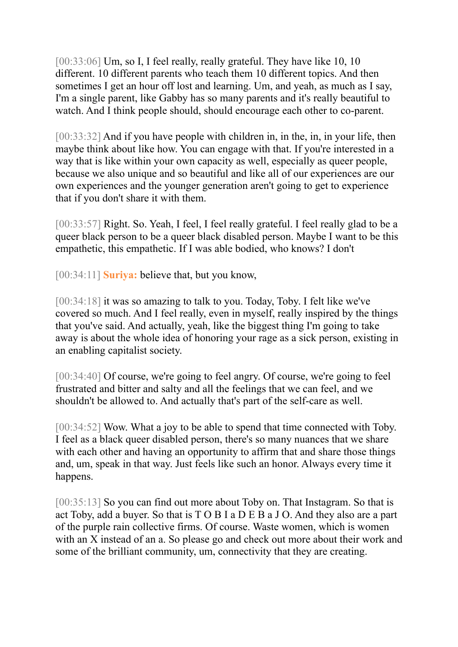[00:33:06] Um, so I, I feel really, really grateful. They have like 10, 10 different. 10 different parents who teach them 10 different topics. And then sometimes I get an hour off lost and learning. Um, and yeah, as much as I say, I'm a single parent, like Gabby has so many parents and it's really beautiful to watch. And I think people should, should encourage each other to co-parent.

[00:33:32] And if you have people with children in, in the, in, in your life, then maybe think about like how. You can engage with that. If you're interested in a way that is like within your own capacity as well, especially as queer people, because we also unique and so beautiful and like all of our experiences are our own experiences and the younger generation aren't going to get to experience that if you don't share it with them.

[00:33:57] Right. So. Yeah, I feel, I feel really grateful. I feel really glad to be a queer black person to be a queer black disabled person. Maybe I want to be this empathetic, this empathetic. If I was able bodied, who knows? I don't

[00:34:11] **Suriya:** believe that, but you know,

[00:34:18] it was so amazing to talk to you. Today, Toby. I felt like we've covered so much. And I feel really, even in myself, really inspired by the things that you've said. And actually, yeah, like the biggest thing I'm going to take away is about the whole idea of honoring your rage as a sick person, existing in an enabling capitalist society.

[00:34:40] Of course, we're going to feel angry. Of course, we're going to feel frustrated and bitter and salty and all the feelings that we can feel, and we shouldn't be allowed to. And actually that's part of the self-care as well.

[00:34:52] Wow. What a joy to be able to spend that time connected with Toby. I feel as a black queer disabled person, there's so many nuances that we share with each other and having an opportunity to affirm that and share those things and, um, speak in that way. Just feels like such an honor. Always every time it happens.

[00:35:13] So you can find out more about Toby on. That Instagram. So that is act Toby, add a buyer. So that is T O B I a D E B a J O. And they also are a part of the purple rain collective firms. Of course. Waste women, which is women with an X instead of an a. So please go and check out more about their work and some of the brilliant community, um, connectivity that they are creating.